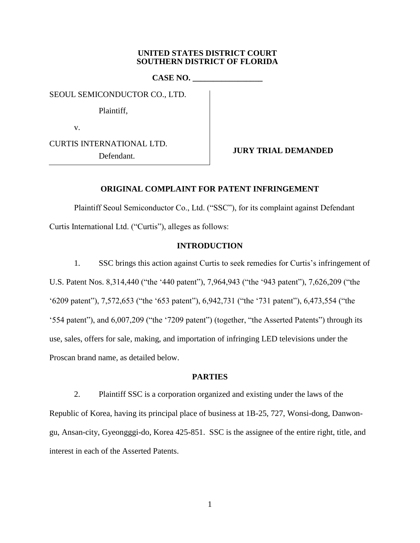### **UNITED STATES DISTRICT COURT SOUTHERN DISTRICT OF FLORIDA**

**CASE NO. \_\_\_\_\_\_\_\_\_\_\_\_\_\_\_\_\_**

SEOUL SEMICONDUCTOR CO., LTD.

Plaintiff,

v.

CURTIS INTERNATIONAL LTD.

Defendant. **JURY TRIAL DEMANDED**

## **ORIGINAL COMPLAINT FOR PATENT INFRINGEMENT**

Plaintiff Seoul Semiconductor Co., Ltd. ("SSC"), for its complaint against Defendant Curtis International Ltd. ("Curtis"), alleges as follows:

## **INTRODUCTION**

1. SSC brings this action against Curtis to seek remedies for Curtis's infringement of U.S. Patent Nos. 8,314,440 ("the '440 patent"), 7,964,943 ("the '943 patent"), 7,626,209 ("the '6209 patent"), 7,572,653 ("the '653 patent"), 6,942,731 ("the '731 patent"), 6,473,554 ("the '554 patent"), and 6,007,209 ("the '7209 patent") (together, "the Asserted Patents") through its use, sales, offers for sale, making, and importation of infringing LED televisions under the Proscan brand name, as detailed below.

### **PARTIES**

2. Plaintiff SSC is a corporation organized and existing under the laws of the Republic of Korea, having its principal place of business at 1B-25, 727, Wonsi-dong, Danwongu, Ansan-city, Gyeongggi-do, Korea 425-851. SSC is the assignee of the entire right, title, and interest in each of the Asserted Patents.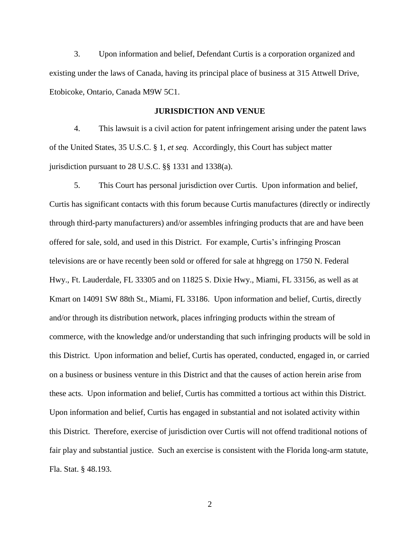3. Upon information and belief, Defendant Curtis is a corporation organized and existing under the laws of Canada, having its principal place of business at 315 Attwell Drive, Etobicoke, Ontario, Canada M9W 5C1.

# **JURISDICTION AND VENUE**

4. This lawsuit is a civil action for patent infringement arising under the patent laws of the United States, 35 U.S.C. § 1, *et seq.* Accordingly, this Court has subject matter jurisdiction pursuant to 28 U.S.C. §§ 1331 and 1338(a).

5. This Court has personal jurisdiction over Curtis. Upon information and belief, Curtis has significant contacts with this forum because Curtis manufactures (directly or indirectly through third-party manufacturers) and/or assembles infringing products that are and have been offered for sale, sold, and used in this District. For example, Curtis's infringing Proscan televisions are or have recently been sold or offered for sale at hhgregg on 1750 N. Federal Hwy., Ft. Lauderdale, FL 33305 and on 11825 S. Dixie Hwy., Miami, FL 33156, as well as at Kmart on 14091 SW 88th St., Miami, FL 33186. Upon information and belief, Curtis, directly and/or through its distribution network, places infringing products within the stream of commerce, with the knowledge and/or understanding that such infringing products will be sold in this District. Upon information and belief, Curtis has operated, conducted, engaged in, or carried on a business or business venture in this District and that the causes of action herein arise from these acts. Upon information and belief, Curtis has committed a tortious act within this District. Upon information and belief, Curtis has engaged in substantial and not isolated activity within this District. Therefore, exercise of jurisdiction over Curtis will not offend traditional notions of fair play and substantial justice. Such an exercise is consistent with the Florida long-arm statute, Fla. Stat. § 48.193.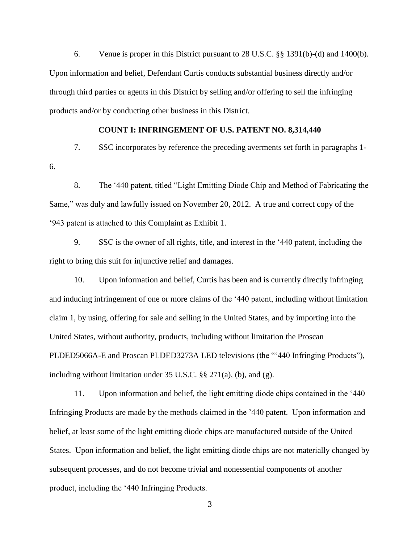6. Venue is proper in this District pursuant to 28 U.S.C. §§ 1391(b)-(d) and 1400(b). Upon information and belief, Defendant Curtis conducts substantial business directly and/or through third parties or agents in this District by selling and/or offering to sell the infringing products and/or by conducting other business in this District.

## **COUNT I: INFRINGEMENT OF U.S. PATENT NO. 8,314,440**

7. SSC incorporates by reference the preceding averments set forth in paragraphs 1- 6.

8. The '440 patent, titled "Light Emitting Diode Chip and Method of Fabricating the Same," was duly and lawfully issued on November 20, 2012. A true and correct copy of the '943 patent is attached to this Complaint as Exhibit 1.

9. SSC is the owner of all rights, title, and interest in the '440 patent, including the right to bring this suit for injunctive relief and damages.

10. Upon information and belief, Curtis has been and is currently directly infringing and inducing infringement of one or more claims of the '440 patent, including without limitation claim 1, by using, offering for sale and selling in the United States, and by importing into the United States, without authority, products, including without limitation the Proscan PLDED5066A-E and Proscan PLDED3273A LED televisions (the "'440 Infringing Products"), including without limitation under 35 U.S.C. §§ 271(a), (b), and (g).

11. Upon information and belief, the light emitting diode chips contained in the '440 Infringing Products are made by the methods claimed in the '440 patent. Upon information and belief, at least some of the light emitting diode chips are manufactured outside of the United States. Upon information and belief, the light emitting diode chips are not materially changed by subsequent processes, and do not become trivial and nonessential components of another product, including the '440 Infringing Products.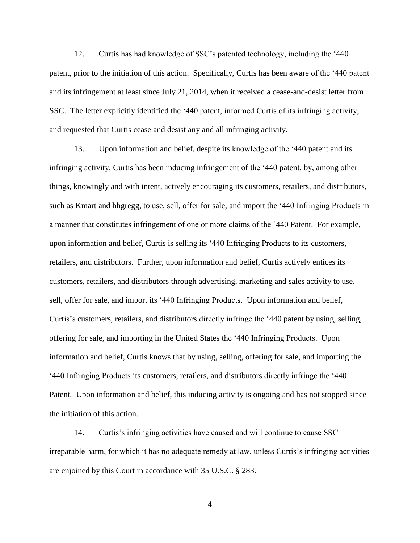12. Curtis has had knowledge of SSC's patented technology, including the '440 patent, prior to the initiation of this action. Specifically, Curtis has been aware of the '440 patent and its infringement at least since July 21, 2014, when it received a cease-and-desist letter from SSC. The letter explicitly identified the '440 patent, informed Curtis of its infringing activity, and requested that Curtis cease and desist any and all infringing activity.

13. Upon information and belief, despite its knowledge of the '440 patent and its infringing activity, Curtis has been inducing infringement of the '440 patent, by, among other things, knowingly and with intent, actively encouraging its customers, retailers, and distributors, such as Kmart and hhgregg, to use, sell, offer for sale, and import the '440 Infringing Products in a manner that constitutes infringement of one or more claims of the '440 Patent. For example, upon information and belief, Curtis is selling its '440 Infringing Products to its customers, retailers, and distributors. Further, upon information and belief, Curtis actively entices its customers, retailers, and distributors through advertising, marketing and sales activity to use, sell, offer for sale, and import its '440 Infringing Products. Upon information and belief, Curtis's customers, retailers, and distributors directly infringe the '440 patent by using, selling, offering for sale, and importing in the United States the '440 Infringing Products. Upon information and belief, Curtis knows that by using, selling, offering for sale, and importing the '440 Infringing Products its customers, retailers, and distributors directly infringe the '440 Patent. Upon information and belief, this inducing activity is ongoing and has not stopped since the initiation of this action.

14. Curtis's infringing activities have caused and will continue to cause SSC irreparable harm, for which it has no adequate remedy at law, unless Curtis's infringing activities are enjoined by this Court in accordance with 35 U.S.C. § 283.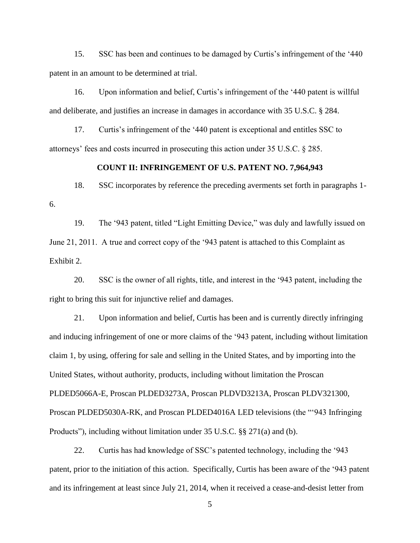15. SSC has been and continues to be damaged by Curtis's infringement of the '440 patent in an amount to be determined at trial.

16. Upon information and belief, Curtis's infringement of the '440 patent is willful and deliberate, and justifies an increase in damages in accordance with 35 U.S.C. § 284.

17. Curtis's infringement of the '440 patent is exceptional and entitles SSC to attorneys' fees and costs incurred in prosecuting this action under 35 U.S.C. § 285.

## **COUNT II: INFRINGEMENT OF U.S. PATENT NO. 7,964,943**

18. SSC incorporates by reference the preceding averments set forth in paragraphs 1- 6.

19. The '943 patent, titled "Light Emitting Device," was duly and lawfully issued on June 21, 2011. A true and correct copy of the '943 patent is attached to this Complaint as Exhibit 2.

20. SSC is the owner of all rights, title, and interest in the '943 patent, including the right to bring this suit for injunctive relief and damages.

21. Upon information and belief, Curtis has been and is currently directly infringing and inducing infringement of one or more claims of the '943 patent, including without limitation claim 1, by using, offering for sale and selling in the United States, and by importing into the United States, without authority, products, including without limitation the Proscan PLDED5066A-E, Proscan PLDED3273A, Proscan PLDVD3213A, Proscan PLDV321300, Proscan PLDED5030A-RK, and Proscan PLDED4016A LED televisions (the "'943 Infringing Products"), including without limitation under 35 U.S.C. §§ 271(a) and (b).

22. Curtis has had knowledge of SSC's patented technology, including the '943 patent, prior to the initiation of this action. Specifically, Curtis has been aware of the '943 patent and its infringement at least since July 21, 2014, when it received a cease-and-desist letter from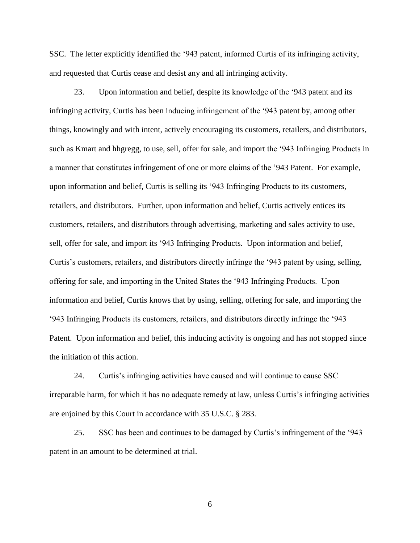SSC. The letter explicitly identified the '943 patent, informed Curtis of its infringing activity, and requested that Curtis cease and desist any and all infringing activity.

23. Upon information and belief, despite its knowledge of the '943 patent and its infringing activity, Curtis has been inducing infringement of the '943 patent by, among other things, knowingly and with intent, actively encouraging its customers, retailers, and distributors, such as Kmart and hhgregg, to use, sell, offer for sale, and import the '943 Infringing Products in a manner that constitutes infringement of one or more claims of the '943 Patent. For example, upon information and belief, Curtis is selling its '943 Infringing Products to its customers, retailers, and distributors. Further, upon information and belief, Curtis actively entices its customers, retailers, and distributors through advertising, marketing and sales activity to use, sell, offer for sale, and import its '943 Infringing Products. Upon information and belief, Curtis's customers, retailers, and distributors directly infringe the '943 patent by using, selling, offering for sale, and importing in the United States the '943 Infringing Products. Upon information and belief, Curtis knows that by using, selling, offering for sale, and importing the '943 Infringing Products its customers, retailers, and distributors directly infringe the '943 Patent. Upon information and belief, this inducing activity is ongoing and has not stopped since the initiation of this action.

24. Curtis's infringing activities have caused and will continue to cause SSC irreparable harm, for which it has no adequate remedy at law, unless Curtis's infringing activities are enjoined by this Court in accordance with 35 U.S.C. § 283.

25. SSC has been and continues to be damaged by Curtis's infringement of the '943 patent in an amount to be determined at trial.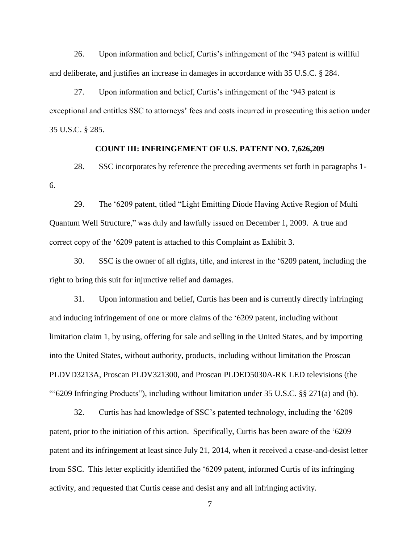26. Upon information and belief, Curtis's infringement of the '943 patent is willful and deliberate, and justifies an increase in damages in accordance with 35 U.S.C. § 284.

27. Upon information and belief, Curtis's infringement of the '943 patent is exceptional and entitles SSC to attorneys' fees and costs incurred in prosecuting this action under 35 U.S.C. § 285.

## **COUNT III: INFRINGEMENT OF U.S. PATENT NO. 7,626,209**

28. SSC incorporates by reference the preceding averments set forth in paragraphs 1- 6.

29. The '6209 patent, titled "Light Emitting Diode Having Active Region of Multi Quantum Well Structure," was duly and lawfully issued on December 1, 2009. A true and correct copy of the '6209 patent is attached to this Complaint as Exhibit 3.

30. SSC is the owner of all rights, title, and interest in the '6209 patent, including the right to bring this suit for injunctive relief and damages.

31. Upon information and belief, Curtis has been and is currently directly infringing and inducing infringement of one or more claims of the '6209 patent, including without limitation claim 1, by using, offering for sale and selling in the United States, and by importing into the United States, without authority, products, including without limitation the Proscan PLDVD3213A, Proscan PLDV321300, and Proscan PLDED5030A-RK LED televisions (the "'6209 Infringing Products"), including without limitation under 35 U.S.C. §§ 271(a) and (b).

32. Curtis has had knowledge of SSC's patented technology, including the '6209 patent, prior to the initiation of this action. Specifically, Curtis has been aware of the '6209 patent and its infringement at least since July 21, 2014, when it received a cease-and-desist letter from SSC. This letter explicitly identified the '6209 patent, informed Curtis of its infringing activity, and requested that Curtis cease and desist any and all infringing activity.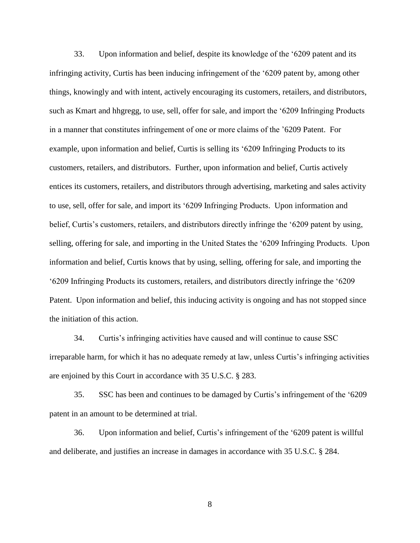33. Upon information and belief, despite its knowledge of the '6209 patent and its infringing activity, Curtis has been inducing infringement of the '6209 patent by, among other things, knowingly and with intent, actively encouraging its customers, retailers, and distributors, such as Kmart and hhgregg, to use, sell, offer for sale, and import the '6209 Infringing Products in a manner that constitutes infringement of one or more claims of the '6209 Patent. For example, upon information and belief, Curtis is selling its '6209 Infringing Products to its customers, retailers, and distributors. Further, upon information and belief, Curtis actively entices its customers, retailers, and distributors through advertising, marketing and sales activity to use, sell, offer for sale, and import its '6209 Infringing Products. Upon information and belief, Curtis's customers, retailers, and distributors directly infringe the '6209 patent by using, selling, offering for sale, and importing in the United States the '6209 Infringing Products. Upon information and belief, Curtis knows that by using, selling, offering for sale, and importing the '6209 Infringing Products its customers, retailers, and distributors directly infringe the '6209 Patent. Upon information and belief, this inducing activity is ongoing and has not stopped since the initiation of this action.

34. Curtis's infringing activities have caused and will continue to cause SSC irreparable harm, for which it has no adequate remedy at law, unless Curtis's infringing activities are enjoined by this Court in accordance with 35 U.S.C. § 283.

35. SSC has been and continues to be damaged by Curtis's infringement of the '6209 patent in an amount to be determined at trial.

36. Upon information and belief, Curtis's infringement of the '6209 patent is willful and deliberate, and justifies an increase in damages in accordance with 35 U.S.C. § 284.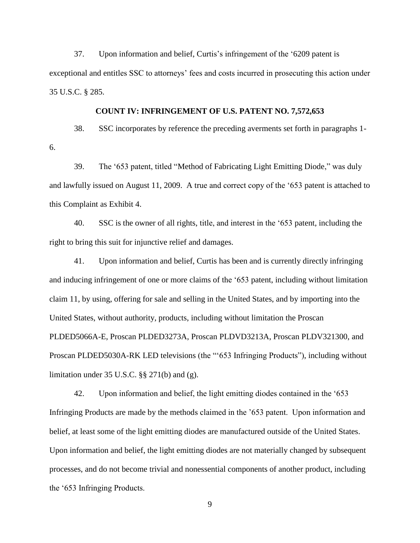37. Upon information and belief, Curtis's infringement of the '6209 patent is exceptional and entitles SSC to attorneys' fees and costs incurred in prosecuting this action under 35 U.S.C. § 285.

## **COUNT IV: INFRINGEMENT OF U.S. PATENT NO. 7,572,653**

38. SSC incorporates by reference the preceding averments set forth in paragraphs 1- 6.

39. The '653 patent, titled "Method of Fabricating Light Emitting Diode," was duly and lawfully issued on August 11, 2009. A true and correct copy of the '653 patent is attached to this Complaint as Exhibit 4.

40. SSC is the owner of all rights, title, and interest in the '653 patent, including the right to bring this suit for injunctive relief and damages.

41. Upon information and belief, Curtis has been and is currently directly infringing and inducing infringement of one or more claims of the '653 patent, including without limitation claim 11, by using, offering for sale and selling in the United States, and by importing into the United States, without authority, products, including without limitation the Proscan PLDED5066A-E, Proscan PLDED3273A, Proscan PLDVD3213A, Proscan PLDV321300, and Proscan PLDED5030A-RK LED televisions (the "'653 Infringing Products"), including without limitation under 35 U.S.C. §§ 271(b) and (g).

42. Upon information and belief, the light emitting diodes contained in the '653 Infringing Products are made by the methods claimed in the '653 patent. Upon information and belief, at least some of the light emitting diodes are manufactured outside of the United States. Upon information and belief, the light emitting diodes are not materially changed by subsequent processes, and do not become trivial and nonessential components of another product, including the '653 Infringing Products.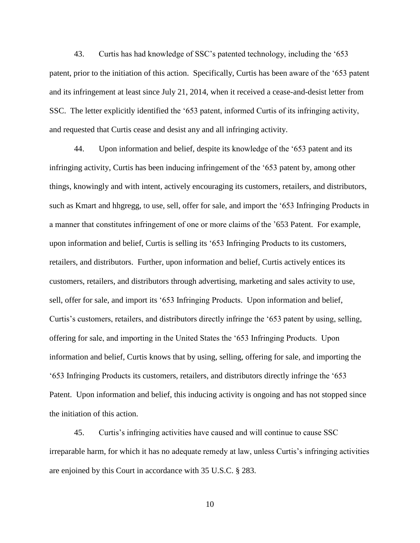43. Curtis has had knowledge of SSC's patented technology, including the '653 patent, prior to the initiation of this action. Specifically, Curtis has been aware of the '653 patent and its infringement at least since July 21, 2014, when it received a cease-and-desist letter from SSC. The letter explicitly identified the '653 patent, informed Curtis of its infringing activity, and requested that Curtis cease and desist any and all infringing activity.

44. Upon information and belief, despite its knowledge of the '653 patent and its infringing activity, Curtis has been inducing infringement of the '653 patent by, among other things, knowingly and with intent, actively encouraging its customers, retailers, and distributors, such as Kmart and hhgregg, to use, sell, offer for sale, and import the '653 Infringing Products in a manner that constitutes infringement of one or more claims of the '653 Patent. For example, upon information and belief, Curtis is selling its '653 Infringing Products to its customers, retailers, and distributors. Further, upon information and belief, Curtis actively entices its customers, retailers, and distributors through advertising, marketing and sales activity to use, sell, offer for sale, and import its '653 Infringing Products. Upon information and belief, Curtis's customers, retailers, and distributors directly infringe the '653 patent by using, selling, offering for sale, and importing in the United States the '653 Infringing Products. Upon information and belief, Curtis knows that by using, selling, offering for sale, and importing the '653 Infringing Products its customers, retailers, and distributors directly infringe the '653 Patent. Upon information and belief, this inducing activity is ongoing and has not stopped since the initiation of this action.

45. Curtis's infringing activities have caused and will continue to cause SSC irreparable harm, for which it has no adequate remedy at law, unless Curtis's infringing activities are enjoined by this Court in accordance with 35 U.S.C. § 283.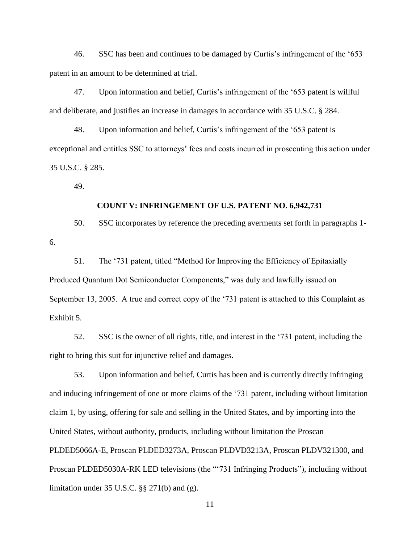46. SSC has been and continues to be damaged by Curtis's infringement of the '653 patent in an amount to be determined at trial.

47. Upon information and belief, Curtis's infringement of the '653 patent is willful and deliberate, and justifies an increase in damages in accordance with 35 U.S.C. § 284.

48. Upon information and belief, Curtis's infringement of the '653 patent is exceptional and entitles SSC to attorneys' fees and costs incurred in prosecuting this action under 35 U.S.C. § 285.

49.

## **COUNT V: INFRINGEMENT OF U.S. PATENT NO. 6,942,731**

50. SSC incorporates by reference the preceding averments set forth in paragraphs 1- 6.

51. The '731 patent, titled "Method for Improving the Efficiency of Epitaxially Produced Quantum Dot Semiconductor Components," was duly and lawfully issued on September 13, 2005. A true and correct copy of the '731 patent is attached to this Complaint as Exhibit 5.

52. SSC is the owner of all rights, title, and interest in the '731 patent, including the right to bring this suit for injunctive relief and damages.

53. Upon information and belief, Curtis has been and is currently directly infringing and inducing infringement of one or more claims of the '731 patent, including without limitation claim 1, by using, offering for sale and selling in the United States, and by importing into the United States, without authority, products, including without limitation the Proscan PLDED5066A-E, Proscan PLDED3273A, Proscan PLDVD3213A, Proscan PLDV321300, and Proscan PLDED5030A-RK LED televisions (the "'731 Infringing Products"), including without limitation under 35 U.S.C. §§ 271(b) and (g).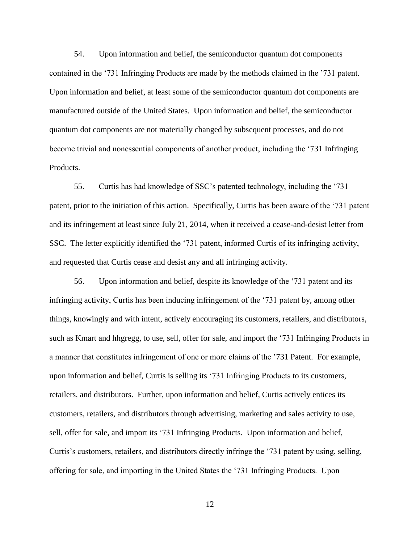54. Upon information and belief, the semiconductor quantum dot components contained in the '731 Infringing Products are made by the methods claimed in the '731 patent. Upon information and belief, at least some of the semiconductor quantum dot components are manufactured outside of the United States. Upon information and belief, the semiconductor quantum dot components are not materially changed by subsequent processes, and do not become trivial and nonessential components of another product, including the '731 Infringing Products.

55. Curtis has had knowledge of SSC's patented technology, including the '731 patent, prior to the initiation of this action. Specifically, Curtis has been aware of the '731 patent and its infringement at least since July 21, 2014, when it received a cease-and-desist letter from SSC. The letter explicitly identified the '731 patent, informed Curtis of its infringing activity, and requested that Curtis cease and desist any and all infringing activity.

56. Upon information and belief, despite its knowledge of the '731 patent and its infringing activity, Curtis has been inducing infringement of the '731 patent by, among other things, knowingly and with intent, actively encouraging its customers, retailers, and distributors, such as Kmart and hhgregg, to use, sell, offer for sale, and import the '731 Infringing Products in a manner that constitutes infringement of one or more claims of the '731 Patent. For example, upon information and belief, Curtis is selling its '731 Infringing Products to its customers, retailers, and distributors. Further, upon information and belief, Curtis actively entices its customers, retailers, and distributors through advertising, marketing and sales activity to use, sell, offer for sale, and import its '731 Infringing Products. Upon information and belief, Curtis's customers, retailers, and distributors directly infringe the '731 patent by using, selling, offering for sale, and importing in the United States the '731 Infringing Products. Upon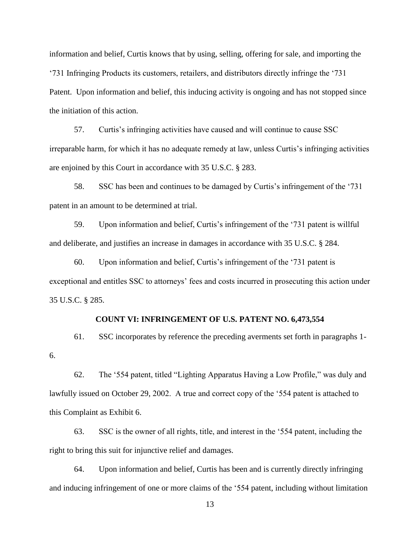information and belief, Curtis knows that by using, selling, offering for sale, and importing the '731 Infringing Products its customers, retailers, and distributors directly infringe the '731 Patent. Upon information and belief, this inducing activity is ongoing and has not stopped since the initiation of this action.

57. Curtis's infringing activities have caused and will continue to cause SSC irreparable harm, for which it has no adequate remedy at law, unless Curtis's infringing activities are enjoined by this Court in accordance with 35 U.S.C. § 283.

58. SSC has been and continues to be damaged by Curtis's infringement of the '731 patent in an amount to be determined at trial.

59. Upon information and belief, Curtis's infringement of the '731 patent is willful and deliberate, and justifies an increase in damages in accordance with 35 U.S.C. § 284.

60. Upon information and belief, Curtis's infringement of the '731 patent is exceptional and entitles SSC to attorneys' fees and costs incurred in prosecuting this action under 35 U.S.C. § 285.

### **COUNT VI: INFRINGEMENT OF U.S. PATENT NO. 6,473,554**

61. SSC incorporates by reference the preceding averments set forth in paragraphs 1- 6.

62. The '554 patent, titled "Lighting Apparatus Having a Low Profile," was duly and lawfully issued on October 29, 2002. A true and correct copy of the '554 patent is attached to this Complaint as Exhibit 6.

63. SSC is the owner of all rights, title, and interest in the '554 patent, including the right to bring this suit for injunctive relief and damages.

64. Upon information and belief, Curtis has been and is currently directly infringing and inducing infringement of one or more claims of the '554 patent, including without limitation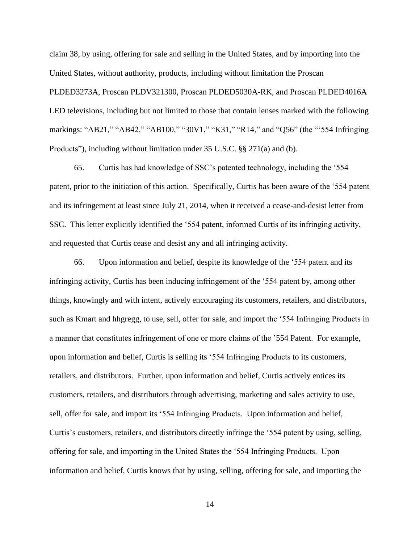claim 38, by using, offering for sale and selling in the United States, and by importing into the United States, without authority, products, including without limitation the Proscan PLDED3273A, Proscan PLDV321300, Proscan PLDED5030A-RK, and Proscan PLDED4016A LED televisions, including but not limited to those that contain lenses marked with the following markings: "AB21," "AB42," "AB100," "30V1," "K31," "R14," and "Q56" (the "'554 Infringing Products"), including without limitation under 35 U.S.C. §§ 271(a) and (b).

65. Curtis has had knowledge of SSC's patented technology, including the '554 patent, prior to the initiation of this action. Specifically, Curtis has been aware of the '554 patent and its infringement at least since July 21, 2014, when it received a cease-and-desist letter from SSC. This letter explicitly identified the '554 patent, informed Curtis of its infringing activity, and requested that Curtis cease and desist any and all infringing activity.

66. Upon information and belief, despite its knowledge of the '554 patent and its infringing activity, Curtis has been inducing infringement of the '554 patent by, among other things, knowingly and with intent, actively encouraging its customers, retailers, and distributors, such as Kmart and hhgregg, to use, sell, offer for sale, and import the '554 Infringing Products in a manner that constitutes infringement of one or more claims of the '554 Patent. For example, upon information and belief, Curtis is selling its '554 Infringing Products to its customers, retailers, and distributors. Further, upon information and belief, Curtis actively entices its customers, retailers, and distributors through advertising, marketing and sales activity to use, sell, offer for sale, and import its '554 Infringing Products. Upon information and belief, Curtis's customers, retailers, and distributors directly infringe the '554 patent by using, selling, offering for sale, and importing in the United States the '554 Infringing Products. Upon information and belief, Curtis knows that by using, selling, offering for sale, and importing the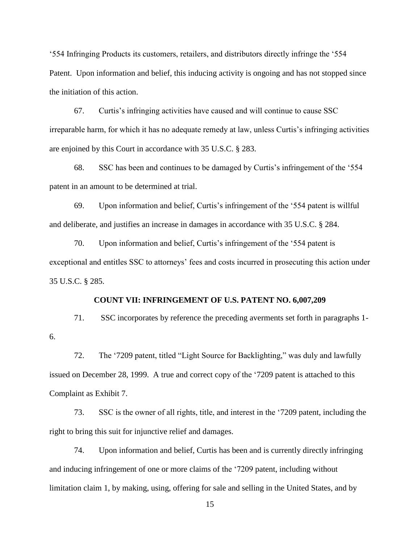'554 Infringing Products its customers, retailers, and distributors directly infringe the '554 Patent. Upon information and belief, this inducing activity is ongoing and has not stopped since the initiation of this action.

67. Curtis's infringing activities have caused and will continue to cause SSC irreparable harm, for which it has no adequate remedy at law, unless Curtis's infringing activities are enjoined by this Court in accordance with 35 U.S.C. § 283.

68. SSC has been and continues to be damaged by Curtis's infringement of the '554 patent in an amount to be determined at trial.

69. Upon information and belief, Curtis's infringement of the '554 patent is willful and deliberate, and justifies an increase in damages in accordance with 35 U.S.C. § 284.

70. Upon information and belief, Curtis's infringement of the '554 patent is exceptional and entitles SSC to attorneys' fees and costs incurred in prosecuting this action under 35 U.S.C. § 285.

## **COUNT VII: INFRINGEMENT OF U.S. PATENT NO. 6,007,209**

71. SSC incorporates by reference the preceding averments set forth in paragraphs 1- 6.

72. The '7209 patent, titled "Light Source for Backlighting," was duly and lawfully issued on December 28, 1999. A true and correct copy of the '7209 patent is attached to this Complaint as Exhibit 7.

73. SSC is the owner of all rights, title, and interest in the '7209 patent, including the right to bring this suit for injunctive relief and damages.

74. Upon information and belief, Curtis has been and is currently directly infringing and inducing infringement of one or more claims of the '7209 patent, including without limitation claim 1, by making, using, offering for sale and selling in the United States, and by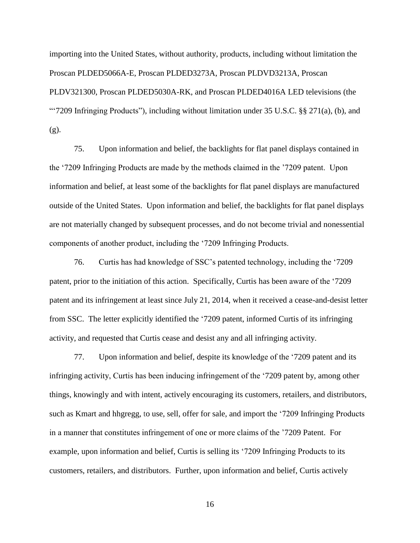importing into the United States, without authority, products, including without limitation the Proscan PLDED5066A-E, Proscan PLDED3273A, Proscan PLDVD3213A, Proscan PLDV321300, Proscan PLDED5030A-RK, and Proscan PLDED4016A LED televisions (the "'7209 Infringing Products"), including without limitation under 35 U.S.C. §§ 271(a), (b), and (g).

75. Upon information and belief, the backlights for flat panel displays contained in the '7209 Infringing Products are made by the methods claimed in the '7209 patent. Upon information and belief, at least some of the backlights for flat panel displays are manufactured outside of the United States. Upon information and belief, the backlights for flat panel displays are not materially changed by subsequent processes, and do not become trivial and nonessential components of another product, including the '7209 Infringing Products.

76. Curtis has had knowledge of SSC's patented technology, including the '7209 patent, prior to the initiation of this action. Specifically, Curtis has been aware of the '7209 patent and its infringement at least since July 21, 2014, when it received a cease-and-desist letter from SSC. The letter explicitly identified the '7209 patent, informed Curtis of its infringing activity, and requested that Curtis cease and desist any and all infringing activity.

77. Upon information and belief, despite its knowledge of the '7209 patent and its infringing activity, Curtis has been inducing infringement of the '7209 patent by, among other things, knowingly and with intent, actively encouraging its customers, retailers, and distributors, such as Kmart and hhgregg, to use, sell, offer for sale, and import the '7209 Infringing Products in a manner that constitutes infringement of one or more claims of the '7209 Patent. For example, upon information and belief, Curtis is selling its '7209 Infringing Products to its customers, retailers, and distributors. Further, upon information and belief, Curtis actively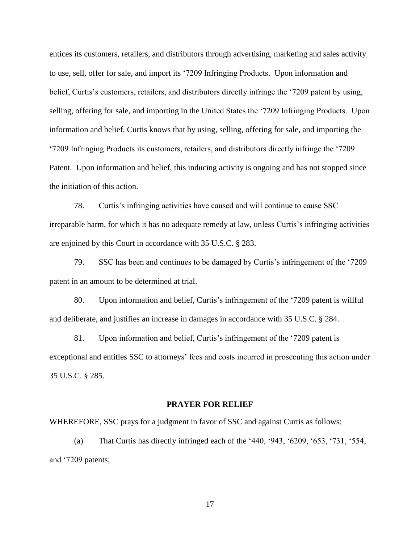entices its customers, retailers, and distributors through advertising, marketing and sales activity to use, sell, offer for sale, and import its '7209 Infringing Products. Upon information and belief, Curtis's customers, retailers, and distributors directly infringe the '7209 patent by using, selling, offering for sale, and importing in the United States the '7209 Infringing Products. Upon information and belief, Curtis knows that by using, selling, offering for sale, and importing the '7209 Infringing Products its customers, retailers, and distributors directly infringe the '7209 Patent. Upon information and belief, this inducing activity is ongoing and has not stopped since the initiation of this action.

78. Curtis's infringing activities have caused and will continue to cause SSC irreparable harm, for which it has no adequate remedy at law, unless Curtis's infringing activities are enjoined by this Court in accordance with 35 U.S.C. § 283.

79. SSC has been and continues to be damaged by Curtis's infringement of the '7209 patent in an amount to be determined at trial.

80. Upon information and belief, Curtis's infringement of the '7209 patent is willful and deliberate, and justifies an increase in damages in accordance with 35 U.S.C. § 284.

81. Upon information and belief, Curtis's infringement of the '7209 patent is exceptional and entitles SSC to attorneys' fees and costs incurred in prosecuting this action under 35 U.S.C. § 285.

### **PRAYER FOR RELIEF**

#### WHEREFORE, SSC prays for a judgment in favor of SSC and against Curtis as follows:

(a) That Curtis has directly infringed each of the '440, '943, '6209, '653, '731, '554, and '7209 patents;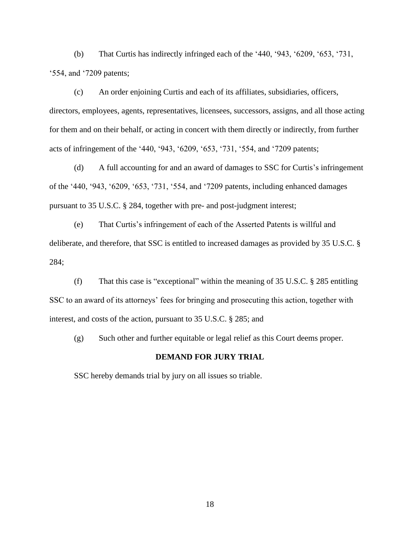(b) That Curtis has indirectly infringed each of the '440, '943, '6209, '653, '731, '554, and '7209 patents;

(c) An order enjoining Curtis and each of its affiliates, subsidiaries, officers, directors, employees, agents, representatives, licensees, successors, assigns, and all those acting for them and on their behalf, or acting in concert with them directly or indirectly, from further acts of infringement of the '440, '943, '6209, '653, '731, '554, and '7209 patents;

(d) A full accounting for and an award of damages to SSC for Curtis's infringement of the '440, '943, '6209, '653, '731, '554, and '7209 patents, including enhanced damages pursuant to 35 U.S.C. § 284, together with pre- and post-judgment interest;

(e) That Curtis's infringement of each of the Asserted Patents is willful and deliberate, and therefore, that SSC is entitled to increased damages as provided by 35 U.S.C. § 284;

(f) That this case is "exceptional" within the meaning of 35 U.S.C. § 285 entitling SSC to an award of its attorneys' fees for bringing and prosecuting this action, together with interest, and costs of the action, pursuant to 35 U.S.C. § 285; and

(g) Such other and further equitable or legal relief as this Court deems proper.

#### **DEMAND FOR JURY TRIAL**

SSC hereby demands trial by jury on all issues so triable.